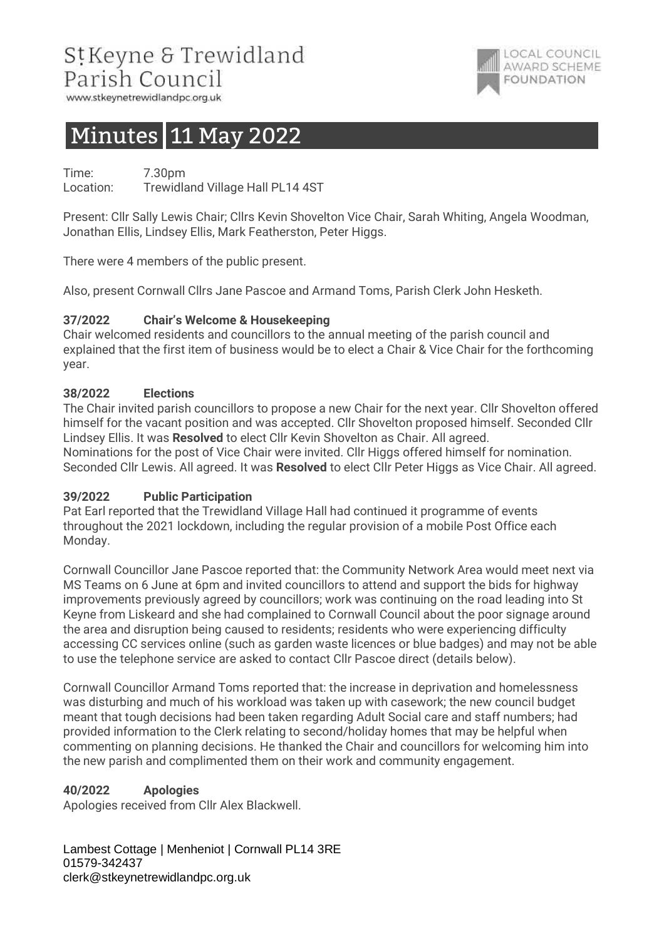# StKeyne & Trewidland Parish Council

www.stkeynetrewidlandpc.org.uk

# Minutes 11 May 2022

Time: 7.30pm Location: Trewidland Village Hall PL14 4ST

Present: Cllr Sally Lewis Chair; Cllrs Kevin Shovelton Vice Chair, Sarah Whiting, Angela Woodman, Jonathan Ellis, Lindsey Ellis, Mark Featherston, Peter Higgs.

**LOCAL COUNCIL** AWARD SCHEME

**FOUNDATION** 

There were 4 members of the public present.

Also, present Cornwall Cllrs Jane Pascoe and Armand Toms, Parish Clerk John Hesketh.

## 37/2022 Chair's Welcome & Housekeeping

Chair welcomed residents and councillors to the annual meeting of the parish council and explained that the first item of business would be to elect a Chair & Vice Chair for the forthcoming year.

#### 38/2022 Elections

The Chair invited parish councillors to propose a new Chair for the next year. Cllr Shovelton offered himself for the vacant position and was accepted. Cllr Shovelton proposed himself. Seconded Cllr Lindsey Ellis. It was Resolved to elect Cllr Kevin Shovelton as Chair. All agreed. Nominations for the post of Vice Chair were invited. Cllr Higgs offered himself for nomination. Seconded Cllr Lewis. All agreed. It was **Resolved** to elect Cllr Peter Higgs as Vice Chair. All agreed.

#### 39/2022 Public Participation

Pat Earl reported that the Trewidland Village Hall had continued it programme of events throughout the 2021 lockdown, including the regular provision of a mobile Post Office each Monday.

Cornwall Councillor Jane Pascoe reported that: the Community Network Area would meet next via MS Teams on 6 June at 6pm and invited councillors to attend and support the bids for highway improvements previously agreed by councillors; work was continuing on the road leading into St Keyne from Liskeard and she had complained to Cornwall Council about the poor signage around the area and disruption being caused to residents; residents who were experiencing difficulty accessing CC services online (such as garden waste licences or blue badges) and may not be able to use the telephone service are asked to contact Cllr Pascoe direct (details below).

Cornwall Councillor Armand Toms reported that: the increase in deprivation and homelessness was disturbing and much of his workload was taken up with casework; the new council budget meant that tough decisions had been taken regarding Adult Social care and staff numbers; had provided information to the Clerk relating to second/holiday homes that may be helpful when commenting on planning decisions. He thanked the Chair and councillors for welcoming him into the new parish and complimented them on their work and community engagement.

#### 40/2022 Apologies

Apologies received from Cllr Alex Blackwell.

Lambest Cottage | Menheniot | Cornwall PL14 3RE 01579-342437 clerk@stkeynetrewidlandpc.org.uk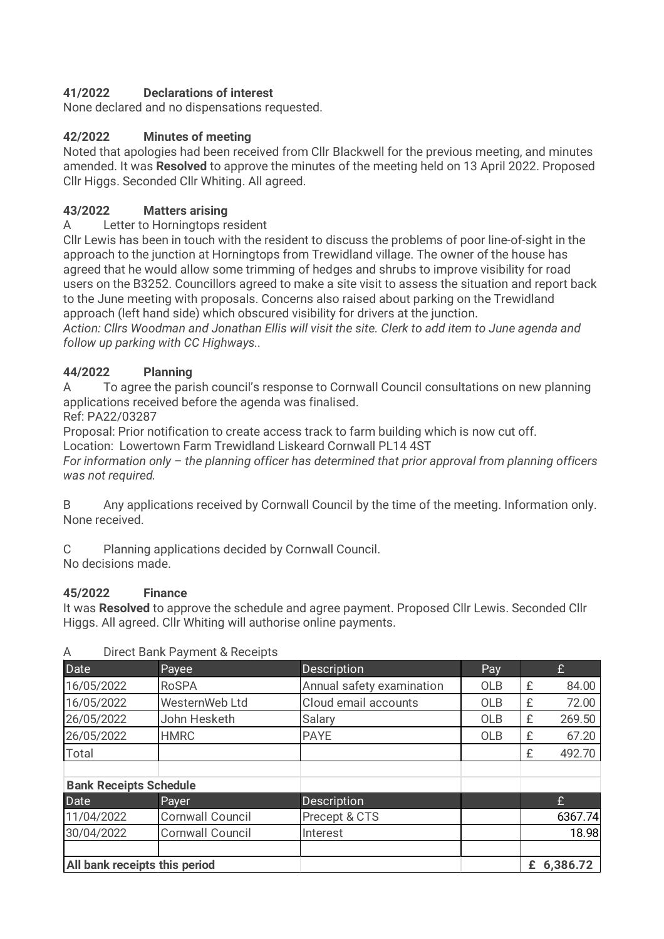# 41/2022 Declarations of interest

None declared and no dispensations requested.

# 42/2022 Minutes of meeting

Noted that apologies had been received from Cllr Blackwell for the previous meeting, and minutes amended. It was **Resolved** to approve the minutes of the meeting held on 13 April 2022. Proposed Cllr Higgs. Seconded Cllr Whiting. All agreed.

# 43/2022 Matters arising

## A Letter to Horningtops resident

Cllr Lewis has been in touch with the resident to discuss the problems of poor line-of-sight in the approach to the junction at Horningtops from Trewidland village. The owner of the house has agreed that he would allow some trimming of hedges and shrubs to improve visibility for road users on the B3252. Councillors agreed to make a site visit to assess the situation and report back to the June meeting with proposals. Concerns also raised about parking on the Trewidland approach (left hand side) which obscured visibility for drivers at the junction.

Action: Cllrs Woodman and Jonathan Ellis will visit the site. Clerk to add item to June agenda and follow up parking with CC Highways..

# 44/2022 Planning

A To agree the parish council's response to Cornwall Council consultations on new planning applications received before the agenda was finalised.

Ref: PA22/03287

Proposal: Prior notification to create access track to farm building which is now cut off.

Location: Lowertown Farm Trewidland Liskeard Cornwall PL14 4ST

For information only – the planning officer has determined that prior approval from planning officers was not required.

B Any applications received by Cornwall Council by the time of the meeting. Information only. None received.

C Planning applications decided by Cornwall Council.

No decisions made.

# 45/2022 Finance

It was Resolved to approve the schedule and agree payment. Proposed Cllr Lewis. Seconded Cllr Higgs. All agreed. Cllr Whiting will authorise online payments.

| Date                          | Payee                   | <b>Description</b>        | Pay        |   | £          |
|-------------------------------|-------------------------|---------------------------|------------|---|------------|
| 16/05/2022                    | <b>RoSPA</b>            | Annual safety examination | <b>OLB</b> | £ | 84.00      |
| 16/05/2022                    | WesternWeb Ltd          | Cloud email accounts      | <b>OLB</b> | £ | 72.00      |
| 26/05/2022                    | John Hesketh            | Salary                    | <b>OLB</b> | £ | 269.50     |
| 26/05/2022                    | <b>HMRC</b>             | <b>PAYE</b>               | <b>OLB</b> | £ | 67.20      |
| Total                         |                         |                           |            | £ | 492.70     |
| <b>Bank Receipts Schedule</b> |                         |                           |            |   |            |
| Date                          | Payer                   | <b>Description</b>        |            |   | £          |
| 11/04/2022                    | <b>Cornwall Council</b> | Precept & CTS             |            |   | 6367.74    |
| 30/04/2022                    | <b>Cornwall Council</b> | Interest                  |            |   | 18.98      |
| All bank receipts this period |                         |                           |            |   | £ 6,386.72 |

## A Direct Bank Payment & Receipts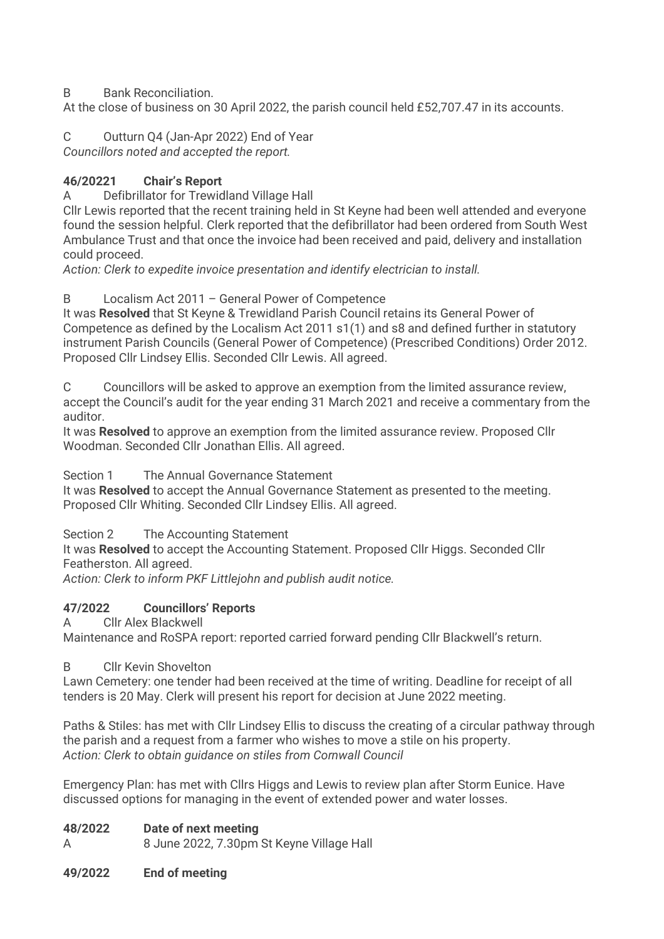B Bank Reconciliation.

At the close of business on 30 April 2022, the parish council held £52,707.47 in its accounts.

C Outturn Q4 (Jan-Apr 2022) End of Year Councillors noted and accepted the report.

# 46/20221 Chair's Report

A Defibrillator for Trewidland Village Hall

Cllr Lewis reported that the recent training held in St Keyne had been well attended and everyone found the session helpful. Clerk reported that the defibrillator had been ordered from South West Ambulance Trust and that once the invoice had been received and paid, delivery and installation could proceed.

Action: Clerk to expedite invoice presentation and identify electrician to install.

B Localism Act 2011 – General Power of Competence

It was Resolved that St Keyne & Trewidland Parish Council retains its General Power of Competence as defined by the Localism Act 2011 s1(1) and s8 and defined further in statutory instrument Parish Councils (General Power of Competence) (Prescribed Conditions) Order 2012. Proposed Cllr Lindsey Ellis. Seconded Cllr Lewis. All agreed.

C Councillors will be asked to approve an exemption from the limited assurance review, accept the Council's audit for the year ending 31 March 2021 and receive a commentary from the auditor.

It was Resolved to approve an exemption from the limited assurance review. Proposed Cllr Woodman. Seconded Cllr Jonathan Ellis. All agreed.

## Section 1 The Annual Governance Statement

It was Resolved to accept the Annual Governance Statement as presented to the meeting. Proposed Cllr Whiting. Seconded Cllr Lindsey Ellis. All agreed.

Section 2 The Accounting Statement

It was Resolved to accept the Accounting Statement. Proposed Cllr Higgs. Seconded Cllr Featherston. All agreed.

Action: Clerk to inform PKF Littlejohn and publish audit notice.

## 47/2022 Councillors' Reports

A Cllr Alex Blackwell

Maintenance and RoSPA report: reported carried forward pending Cllr Blackwell's return.

## B Cllr Kevin Shovelton

Lawn Cemetery: one tender had been received at the time of writing. Deadline for receipt of all tenders is 20 May. Clerk will present his report for decision at June 2022 meeting.

Paths & Stiles: has met with Cllr Lindsey Ellis to discuss the creating of a circular pathway through the parish and a request from a farmer who wishes to move a stile on his property. Action: Clerk to obtain guidance on stiles from Cornwall Council

Emergency Plan: has met with Cllrs Higgs and Lewis to review plan after Storm Eunice. Have discussed options for managing in the event of extended power and water losses.

## 48/2022 Date of next meeting

A 8 June 2022, 7.30pm St Keyne Village Hall

#### 49/2022 End of meeting